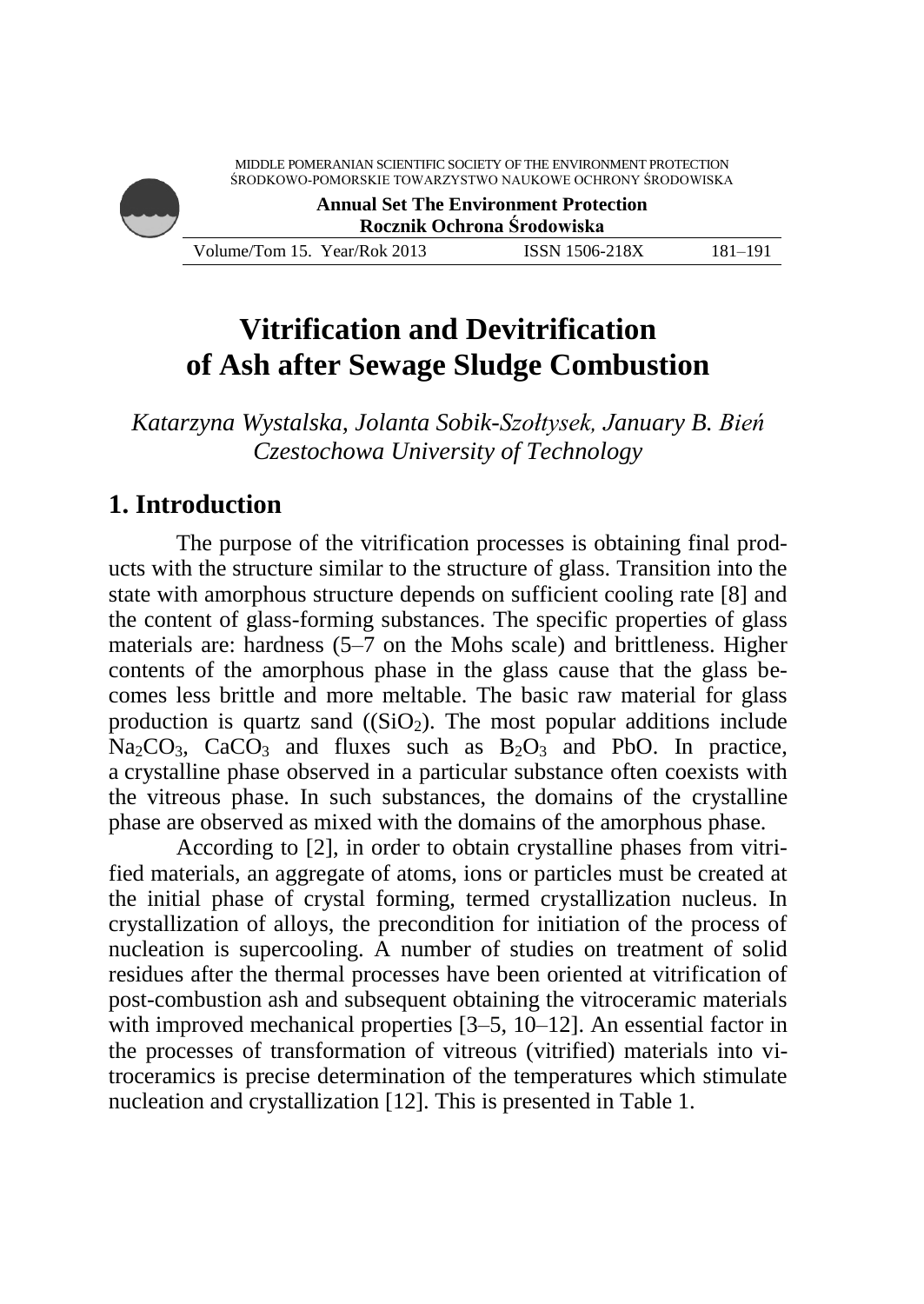

# **Vitrification and Devitrification of Ash after Sewage Sludge Combustion**

*Katarzyna Wystalska, Jolanta Sobik-Szołtysek, January B. Bień Czestochowa University of Technology*

#### **1. Introduction**

The purpose of the vitrification processes is obtaining final products with the structure similar to the structure of glass. Transition into the state with amorphous structure depends on sufficient cooling rate [8] and the content of glass-forming substances. The specific properties of glass materials are: hardness (5–7 on the Mohs scale) and brittleness. Higher contents of the amorphous phase in the glass cause that the glass becomes less brittle and more meltable. The basic raw material for glass production is quartz sand  $((SiO<sub>2</sub>)$ . The most popular additions include  $Na_2CO_3$ , CaCO<sub>3</sub> and fluxes such as  $B_2O_3$  and PbO. In practice, a crystalline phase observed in a particular substance often coexists with the vitreous phase. In such substances, the domains of the crystalline phase are observed as mixed with the domains of the amorphous phase.

According to [2], in order to obtain crystalline phases from vitrified materials, an aggregate of atoms, ions or particles must be created at the initial phase of crystal forming, termed crystallization nucleus. In crystallization of alloys, the precondition for initiation of the process of nucleation is supercooling. A number of studies on treatment of solid residues after the thermal processes have been oriented at vitrification of post-combustion ash and subsequent obtaining the vitroceramic materials with improved mechanical properties [3–5, 10–12]. An essential factor in the processes of transformation of vitreous (vitrified) materials into vitroceramics is precise determination of the temperatures which stimulate nucleation and crystallization [12]. This is presented in Table 1.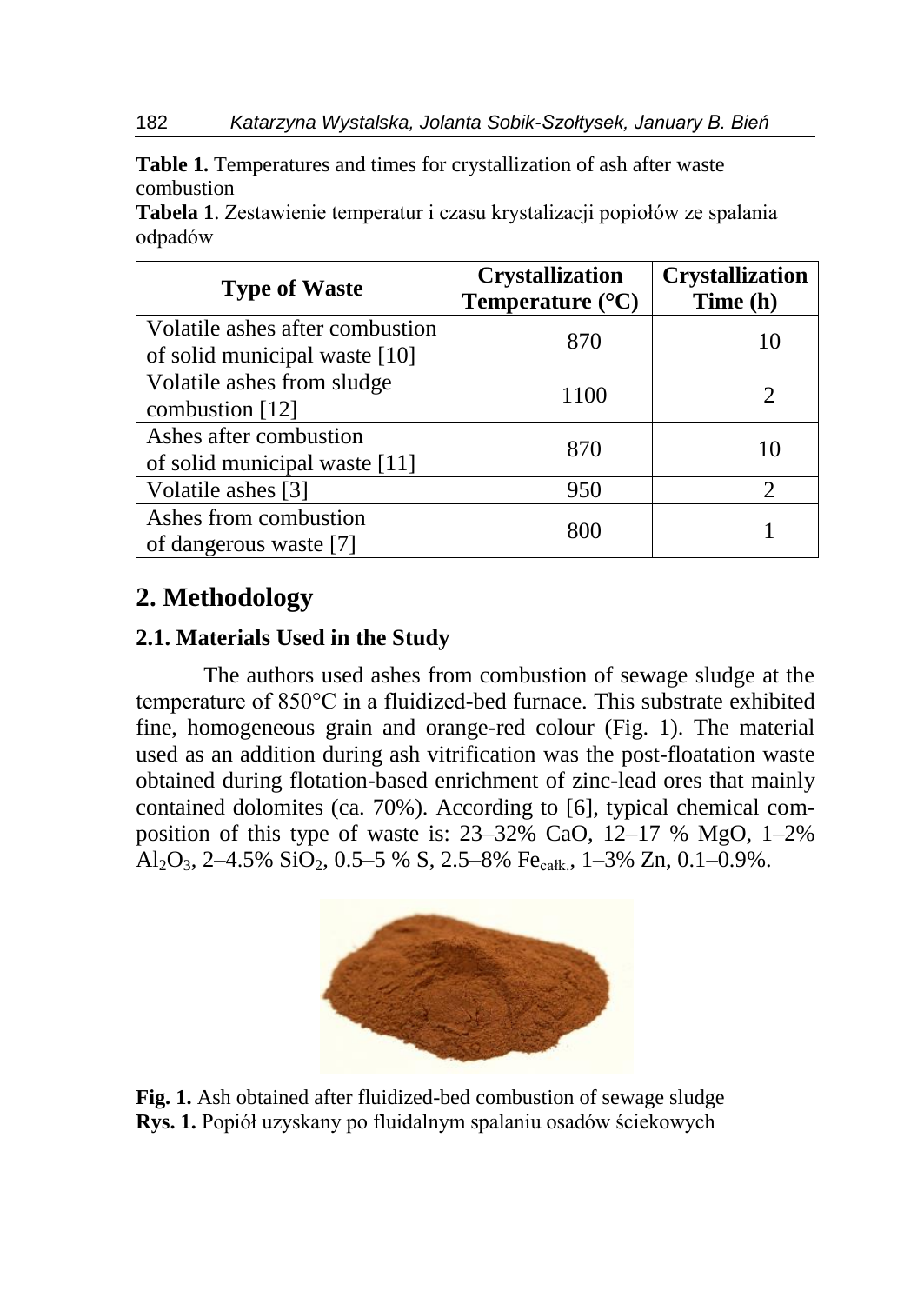**Table 1.** Temperatures and times for crystallization of ash after waste combustion

**Tabela 1**. Zestawienie temperatur i czasu krystalizacji popiołów ze spalania odpadów

| <b>Type of Waste</b>                                             | <b>Crystallization</b><br>Temperature $(^{\circ}C)$ | <b>Crystallization</b><br>Time (h) |
|------------------------------------------------------------------|-----------------------------------------------------|------------------------------------|
| Volatile ashes after combustion<br>of solid municipal waste [10] | 870                                                 |                                    |
| Volatile ashes from sludge<br>combustion [12]                    | 1100                                                | $\mathcal{D}_{\mathcal{L}}$        |
| Ashes after combustion<br>of solid municipal waste [11]          | 870                                                 | 10                                 |
| Volatile ashes [3]                                               | 950                                                 |                                    |
| Ashes from combustion<br>of dangerous waste [7]                  | 800                                                 |                                    |

## **2. Methodology**

#### **2.1. Materials Used in the Study**

The authors used ashes from combustion of sewage sludge at the temperature of 850°C in a fluidized-bed furnace. This substrate exhibited fine, homogeneous grain and orange-red colour (Fig. 1). The material used as an addition during ash vitrification was the post-floatation waste obtained during flotation-based enrichment of zinc-lead ores that mainly contained dolomites (ca. 70%). According to [6], typical chemical composition of this type of waste is: 23–32% CaO, 12–17 % MgO, 1–2% Al<sub>2</sub>O<sub>3</sub>, 2–4.5% SiO<sub>2</sub>, 0.5–5 % S, 2.5–8% Fe<sub>całk</sub>, 1–3% Zn, 0.1–0.9%.



**Fig. 1.** Ash obtained after fluidized-bed combustion of sewage sludge **Rys. 1.** Popiół uzyskany po fluidalnym spalaniu osadów ściekowych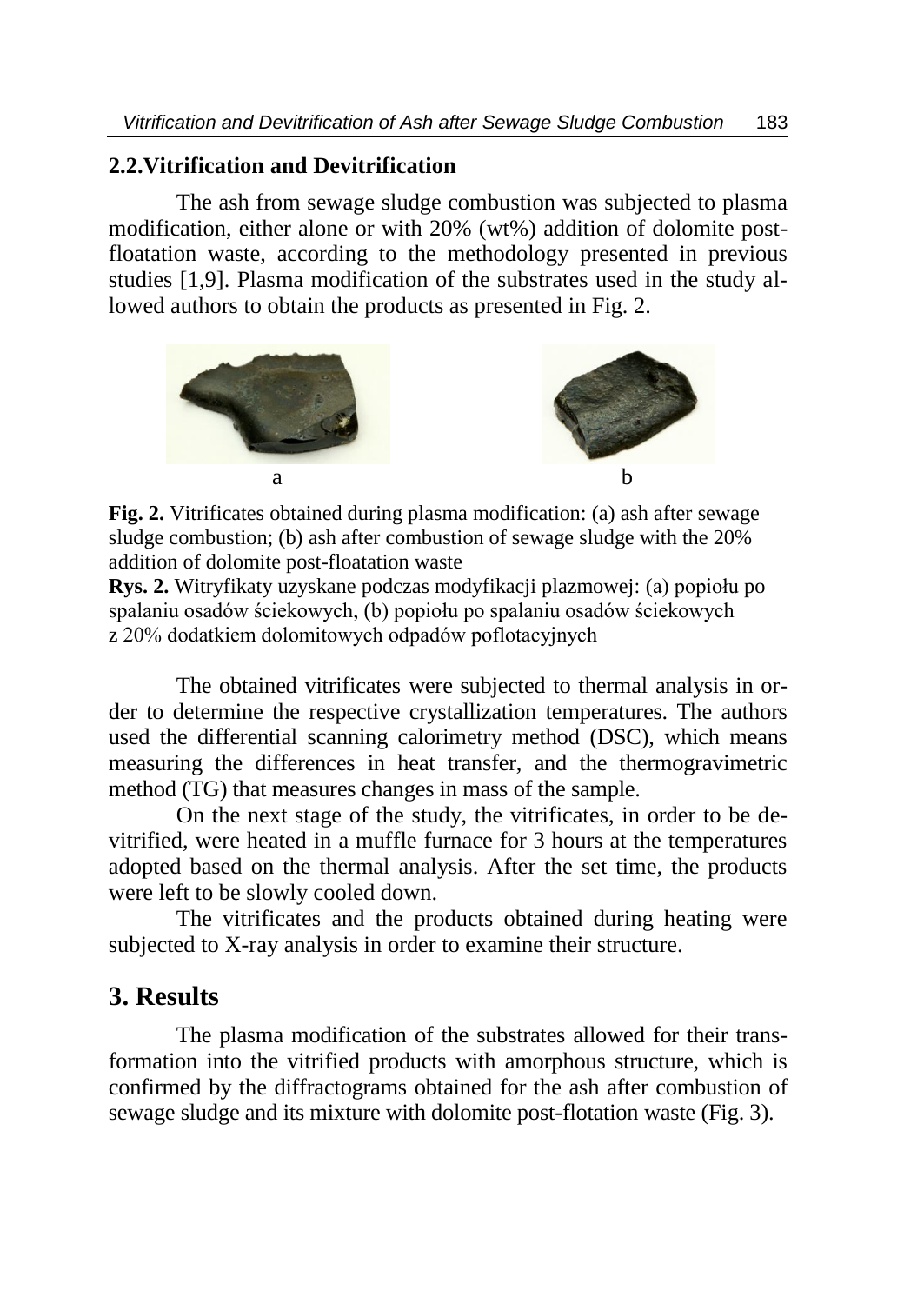#### **2.2.Vitrification and Devitrification**

The ash from sewage sludge combustion was subjected to plasma modification, either alone or with 20% (wt%) addition of dolomite postfloatation waste, according to the methodology presented in previous studies [1,9]. Plasma modification of the substrates used in the study allowed authors to obtain the products as presented in Fig. 2.



**Fig. 2.** Vitrificates obtained during plasma modification: (a) ash after sewage sludge combustion; (b) ash after combustion of sewage sludge with the 20% addition of dolomite post-floatation waste

**Rys. 2.** Witryfikaty uzyskane podczas modyfikacji plazmowej: (a) popiołu po spalaniu osadów ściekowych, (b) popiołu po spalaniu osadów ściekowych z 20% dodatkiem dolomitowych odpadów poflotacyjnych

The obtained vitrificates were subjected to thermal analysis in order to determine the respective crystallization temperatures. The authors used the differential scanning calorimetry method (DSC), which means measuring the differences in heat transfer, and the thermogravimetric method (TG) that measures changes in mass of the sample.

On the next stage of the study, the vitrificates, in order to be devitrified, were heated in a muffle furnace for 3 hours at the temperatures adopted based on the thermal analysis. After the set time, the products were left to be slowly cooled down.

The vitrificates and the products obtained during heating were subjected to X-ray analysis in order to examine their structure.

#### **3. Results**

The plasma modification of the substrates allowed for their transformation into the vitrified products with amorphous structure, which is confirmed by the diffractograms obtained for the ash after combustion of sewage sludge and its mixture with dolomite post-flotation waste (Fig. 3).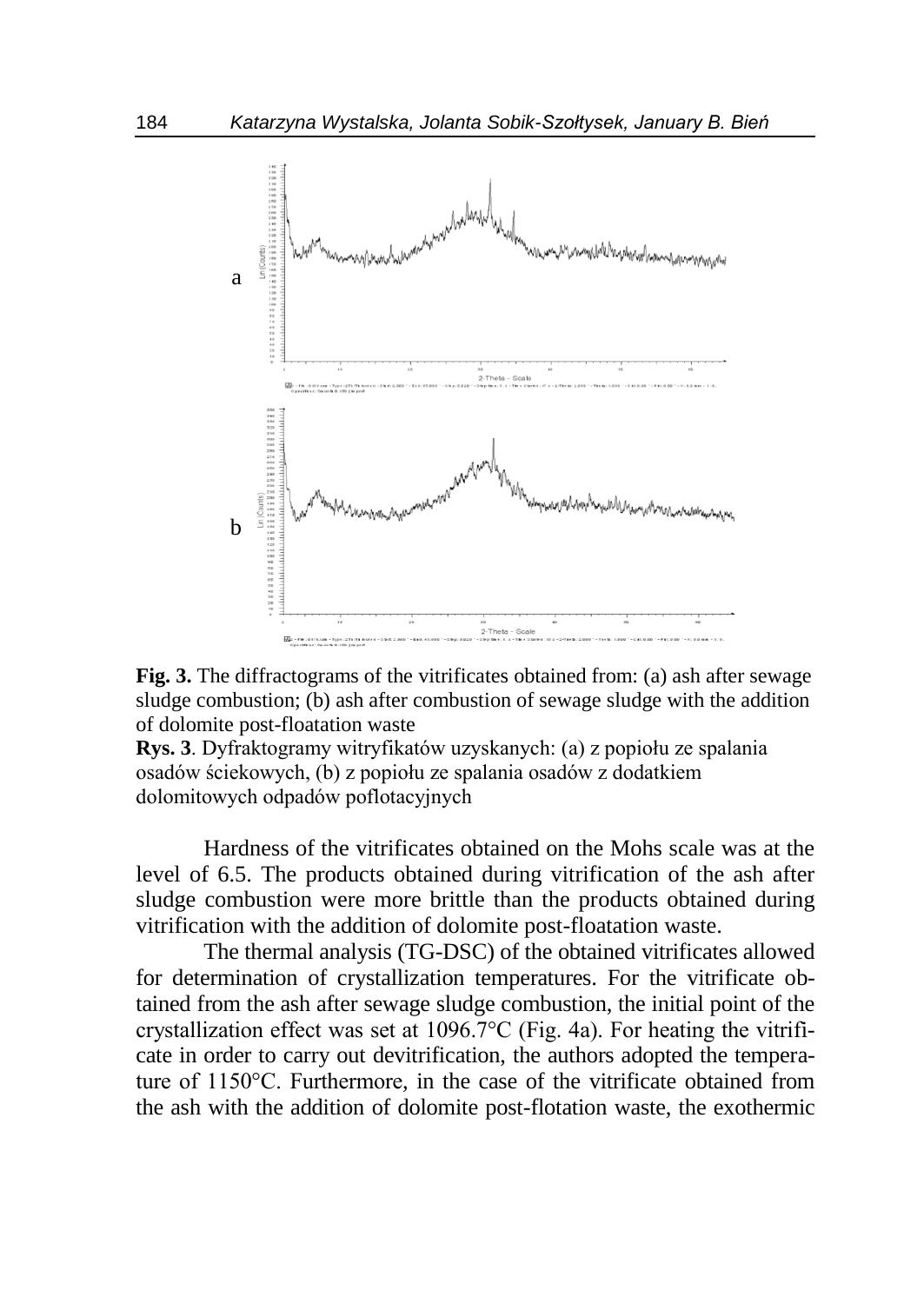



**Rys. 3**. Dyfraktogramy witryfikatów uzyskanych: (a) z popiołu ze spalania osadów ściekowych, (b) z popiołu ze spalania osadów z dodatkiem dolomitowych odpadów poflotacyjnych

Hardness of the vitrificates obtained on the Mohs scale was at the level of 6.5. The products obtained during vitrification of the ash after sludge combustion were more brittle than the products obtained during vitrification with the addition of dolomite post-floatation waste.

The thermal analysis (TG-DSC) of the obtained vitrificates allowed for determination of crystallization temperatures. For the vitrificate obtained from the ash after sewage sludge combustion, the initial point of the crystallization effect was set at 1096.7°C (Fig. 4a). For heating the vitrificate in order to carry out devitrification, the authors adopted the temperature of 1150°C. Furthermore, in the case of the vitrificate obtained from the ash with the addition of dolomite post-flotation waste, the exothermic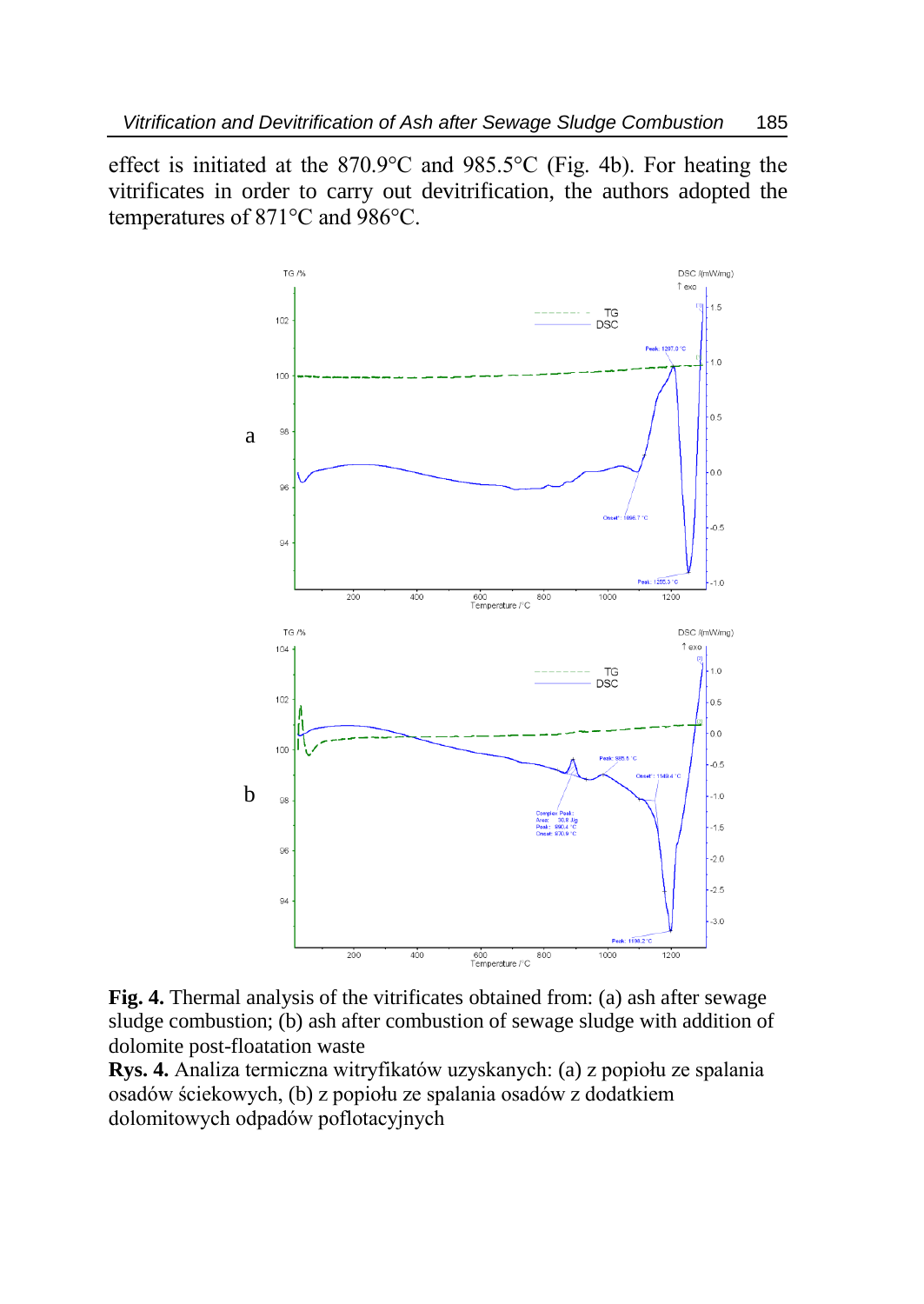effect is initiated at the 870.9°C and 985.5°C (Fig. 4b). For heating the vitrificates in order to carry out devitrification, the authors adopted the temperatures of 871°C and 986°C.



**Fig. 4.** Thermal analysis of the vitrificates obtained from: (a) ash after sewage sludge combustion; (b) ash after combustion of sewage sludge with addition of dolomite post-floatation waste

**Rys. 4.** Analiza termiczna witryfikatów uzyskanych: (a) z popiołu ze spalania osadów ściekowych, (b) z popiołu ze spalania osadów z dodatkiem dolomitowych odpadów poflotacyjnych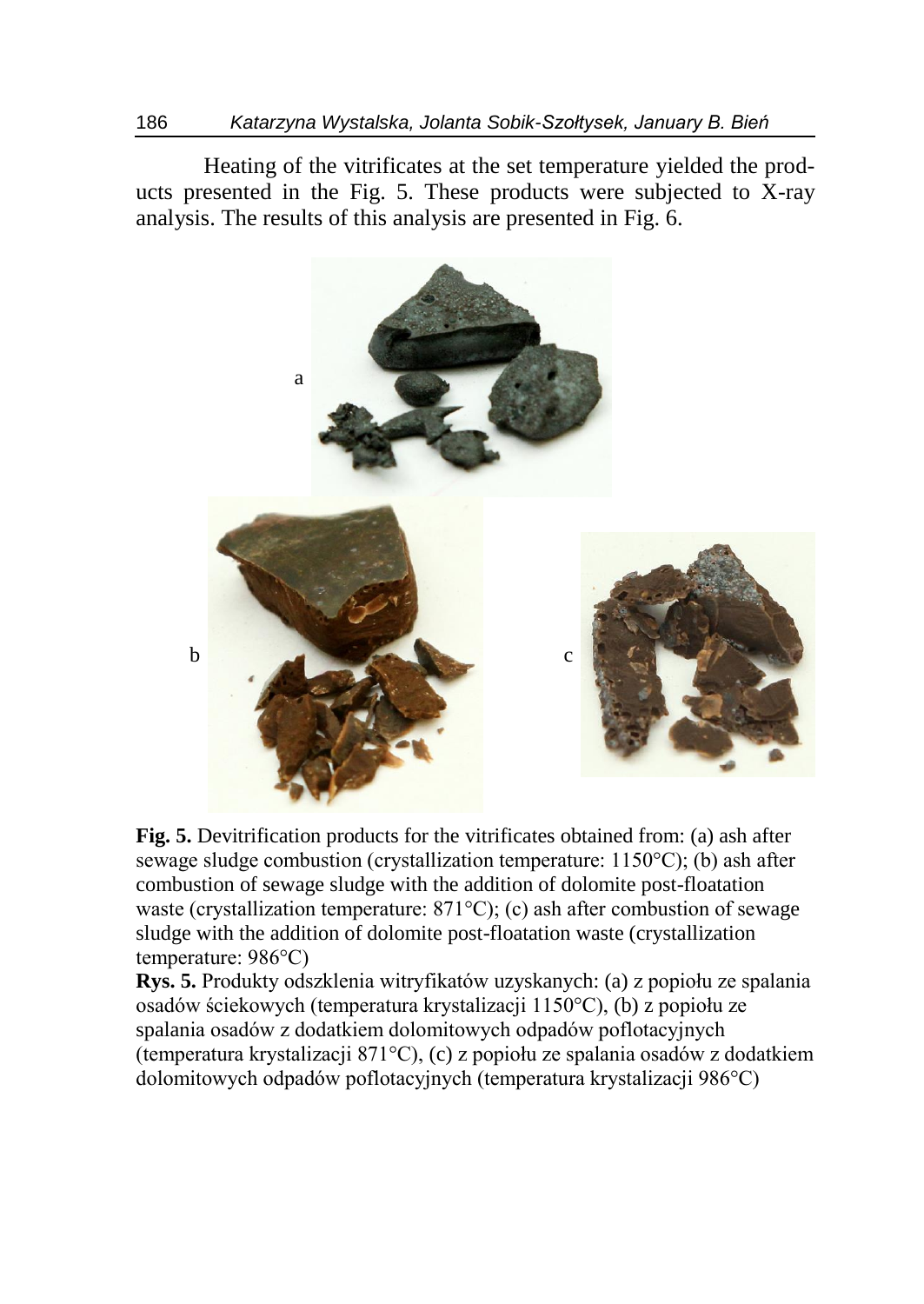Heating of the vitrificates at the set temperature yielded the products presented in the Fig. 5. These products were subjected to X-ray analysis. The results of this analysis are presented in Fig. 6.



**Fig. 5.** Devitrification products for the vitrificates obtained from: (a) ash after sewage sludge combustion (crystallization temperature: 1150°C); (b) ash after combustion of sewage sludge with the addition of dolomite post-floatation waste (crystallization temperature: 871°C); (c) ash after combustion of sewage sludge with the addition of dolomite post-floatation waste (crystallization temperature: 986°C)

**Rys. 5.** Produkty odszklenia witryfikatów uzyskanych: (a) z popiołu ze spalania osadów ściekowych (temperatura krystalizacji 1150°C), (b) z popiołu ze spalania osadów z dodatkiem dolomitowych odpadów poflotacyjnych (temperatura krystalizacji 871°C), (c) z popiołu ze spalania osadów z dodatkiem dolomitowych odpadów poflotacyjnych (temperatura krystalizacji 986°C)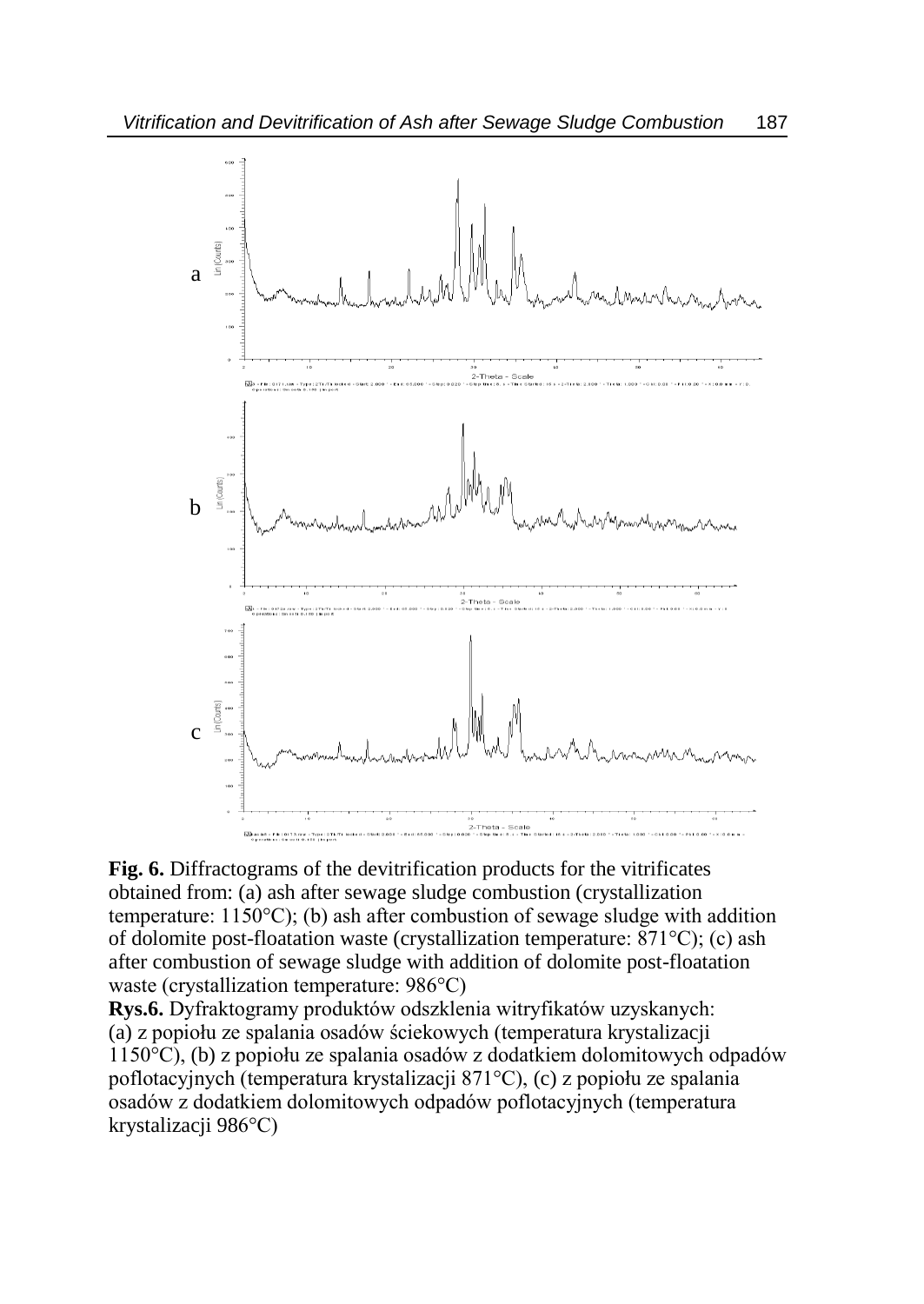

**Fig. 6.** Diffractograms of the devitrification products for the vitrificates obtained from: (a) ash after sewage sludge combustion (crystallization temperature:  $1150^{\circ}$ C); (b) ash after combustion of sewage sludge with addition of dolomite post-floatation waste (crystallization temperature: 871°C); (c) ash after combustion of sewage sludge with addition of dolomite post-floatation waste (crystallization temperature: 986°C)

**Rys.6.** Dyfraktogramy produktów odszklenia witryfikatów uzyskanych: (a) z popiołu ze spalania osadów ściekowych (temperatura krystalizacji 1150°C), (b) z popiołu ze spalania osadów z dodatkiem dolomitowych odpadów poflotacyjnych (temperatura krystalizacji 871°C), (c) z popiołu ze spalania osadów z dodatkiem dolomitowych odpadów poflotacyjnych (temperatura krystalizacji 986°C)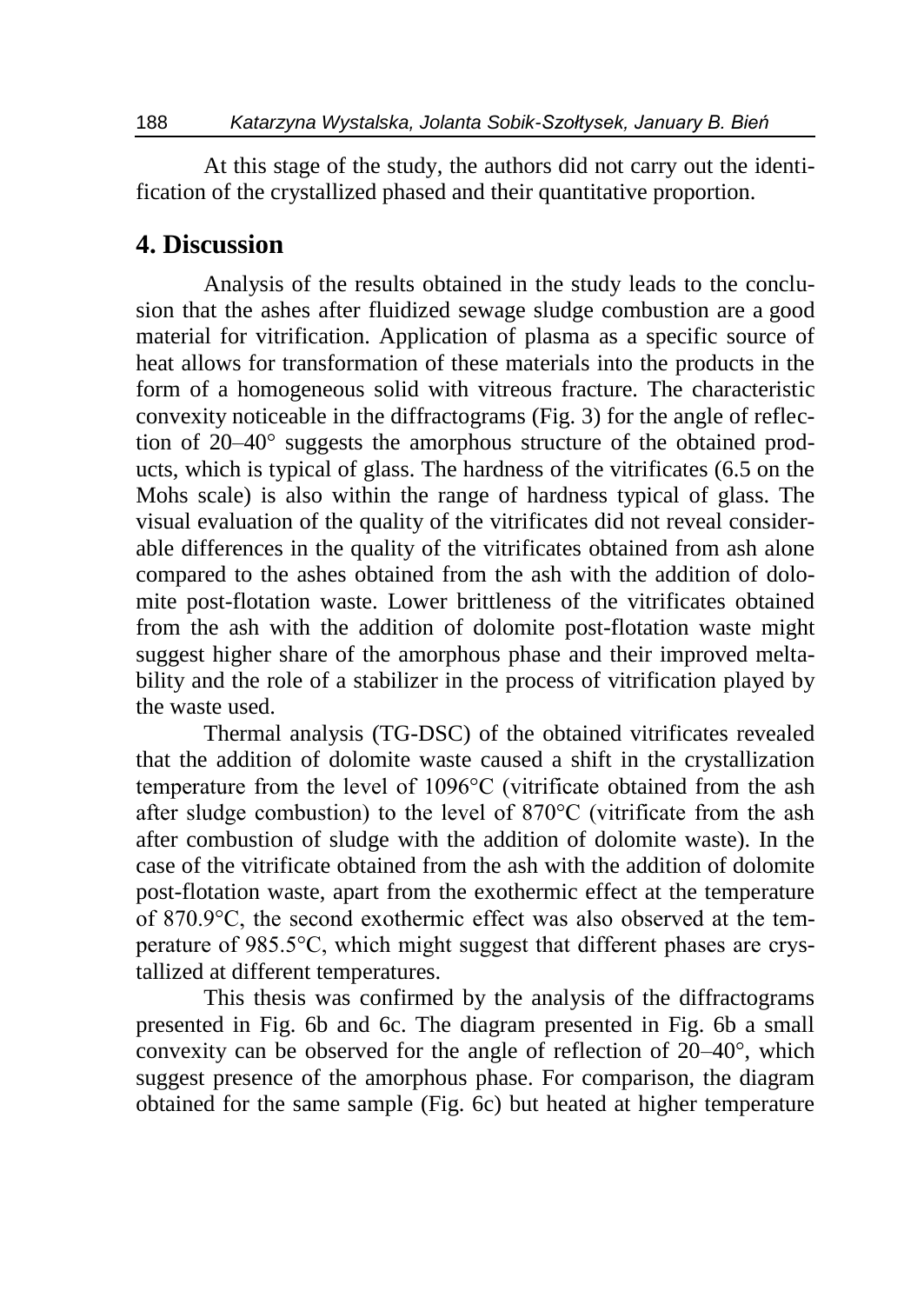At this stage of the study, the authors did not carry out the identification of the crystallized phased and their quantitative proportion.

#### **4. Discussion**

Analysis of the results obtained in the study leads to the conclusion that the ashes after fluidized sewage sludge combustion are a good material for vitrification. Application of plasma as a specific source of heat allows for transformation of these materials into the products in the form of a homogeneous solid with vitreous fracture. The characteristic convexity noticeable in the diffractograms (Fig. 3) for the angle of reflection of 20–40° suggests the amorphous structure of the obtained products, which is typical of glass. The hardness of the vitrificates (6.5 on the Mohs scale) is also within the range of hardness typical of glass. The visual evaluation of the quality of the vitrificates did not reveal considerable differences in the quality of the vitrificates obtained from ash alone compared to the ashes obtained from the ash with the addition of dolomite post-flotation waste. Lower brittleness of the vitrificates obtained from the ash with the addition of dolomite post-flotation waste might suggest higher share of the amorphous phase and their improved meltability and the role of a stabilizer in the process of vitrification played by the waste used.

Thermal analysis (TG-DSC) of the obtained vitrificates revealed that the addition of dolomite waste caused a shift in the crystallization temperature from the level of 1096°C (vitrificate obtained from the ash after sludge combustion) to the level of 870°C (vitrificate from the ash after combustion of sludge with the addition of dolomite waste). In the case of the vitrificate obtained from the ash with the addition of dolomite post-flotation waste, apart from the exothermic effect at the temperature of 870.9°C, the second exothermic effect was also observed at the temperature of 985.5°C, which might suggest that different phases are crystallized at different temperatures.

This thesis was confirmed by the analysis of the diffractograms presented in Fig. 6b and 6c. The diagram presented in Fig. 6b a small convexity can be observed for the angle of reflection of 20–40°, which suggest presence of the amorphous phase. For comparison, the diagram obtained for the same sample (Fig. 6c) but heated at higher temperature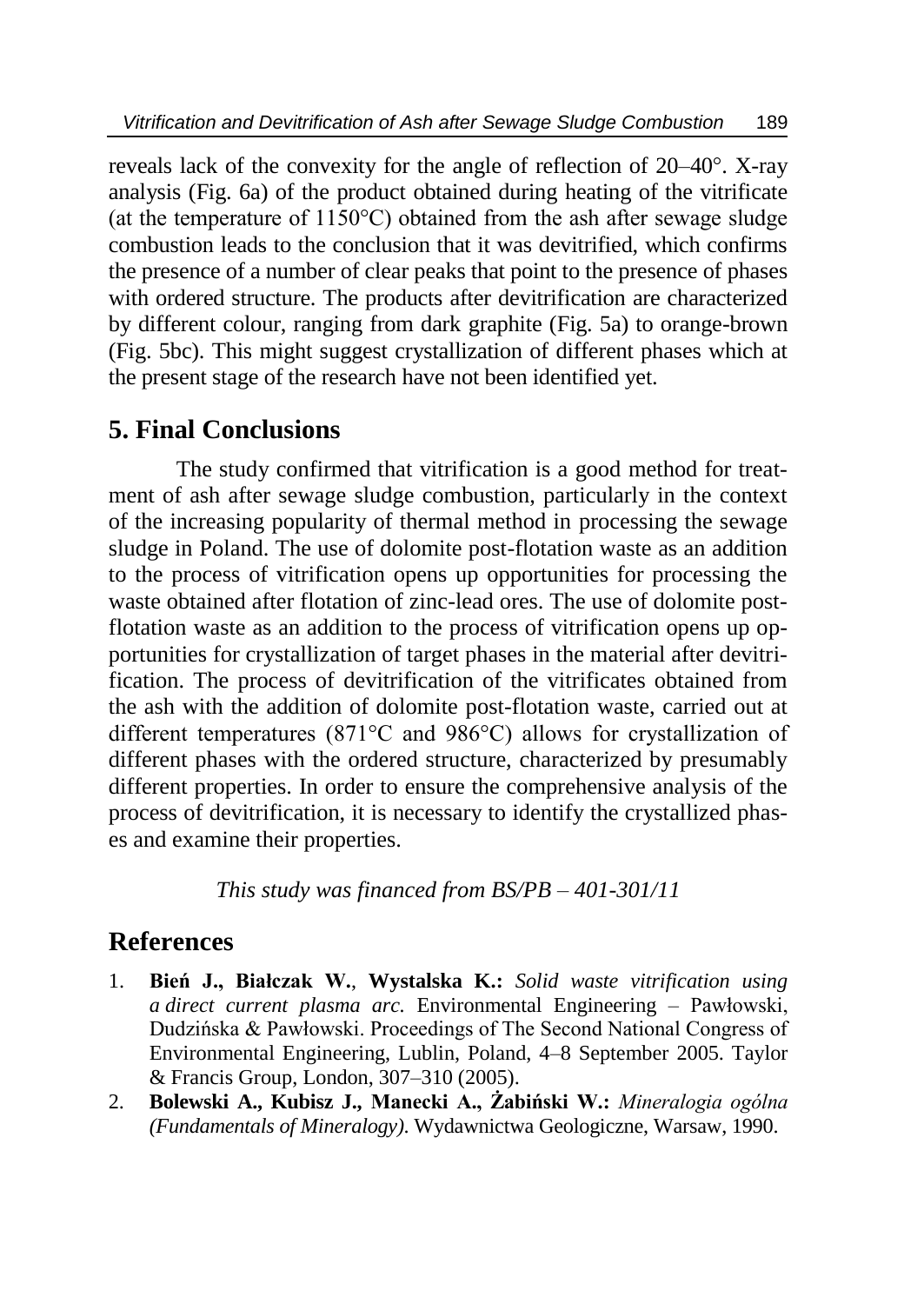reveals lack of the convexity for the angle of reflection of 20–40°. X-ray analysis (Fig. 6a) of the product obtained during heating of the vitrificate (at the temperature of 1150°C) obtained from the ash after sewage sludge combustion leads to the conclusion that it was devitrified, which confirms the presence of a number of clear peaks that point to the presence of phases with ordered structure. The products after devitrification are characterized by different colour, ranging from dark graphite (Fig. 5a) to orange-brown (Fig. 5bc). This might suggest crystallization of different phases which at the present stage of the research have not been identified yet.

#### **5. Final Conclusions**

The study confirmed that vitrification is a good method for treatment of ash after sewage sludge combustion, particularly in the context of the increasing popularity of thermal method in processing the sewage sludge in Poland. The use of dolomite post-flotation waste as an addition to the process of vitrification opens up opportunities for processing the waste obtained after flotation of zinc-lead ores. The use of dolomite postflotation waste as an addition to the process of vitrification opens up opportunities for crystallization of target phases in the material after devitrification. The process of devitrification of the vitrificates obtained from the ash with the addition of dolomite post-flotation waste, carried out at different temperatures (871°C and 986°C) allows for crystallization of different phases with the ordered structure, characterized by presumably different properties. In order to ensure the comprehensive analysis of the process of devitrification, it is necessary to identify the crystallized phases and examine their properties.

*This study was financed from BS/PB – 401-301/11*

### **References**

- 1. **Bień J., Białczak W.**, **Wystalska K.:** *Solid waste vitrification using a direct current plasma arc.* Environmental Engineering – Pawłowski, Dudzińska & Pawłowski. Proceedings of The Second National Congress of Environmental Engineering, Lublin, Poland, 4–8 September 2005. Taylor & Francis Group, London, 307–310 (2005).
- 2. **Bolewski A., Kubisz J., Manecki A., Żabiński W.:** *Mineralogia ogólna (Fundamentals of Mineralogy)*. Wydawnictwa Geologiczne, Warsaw, 1990.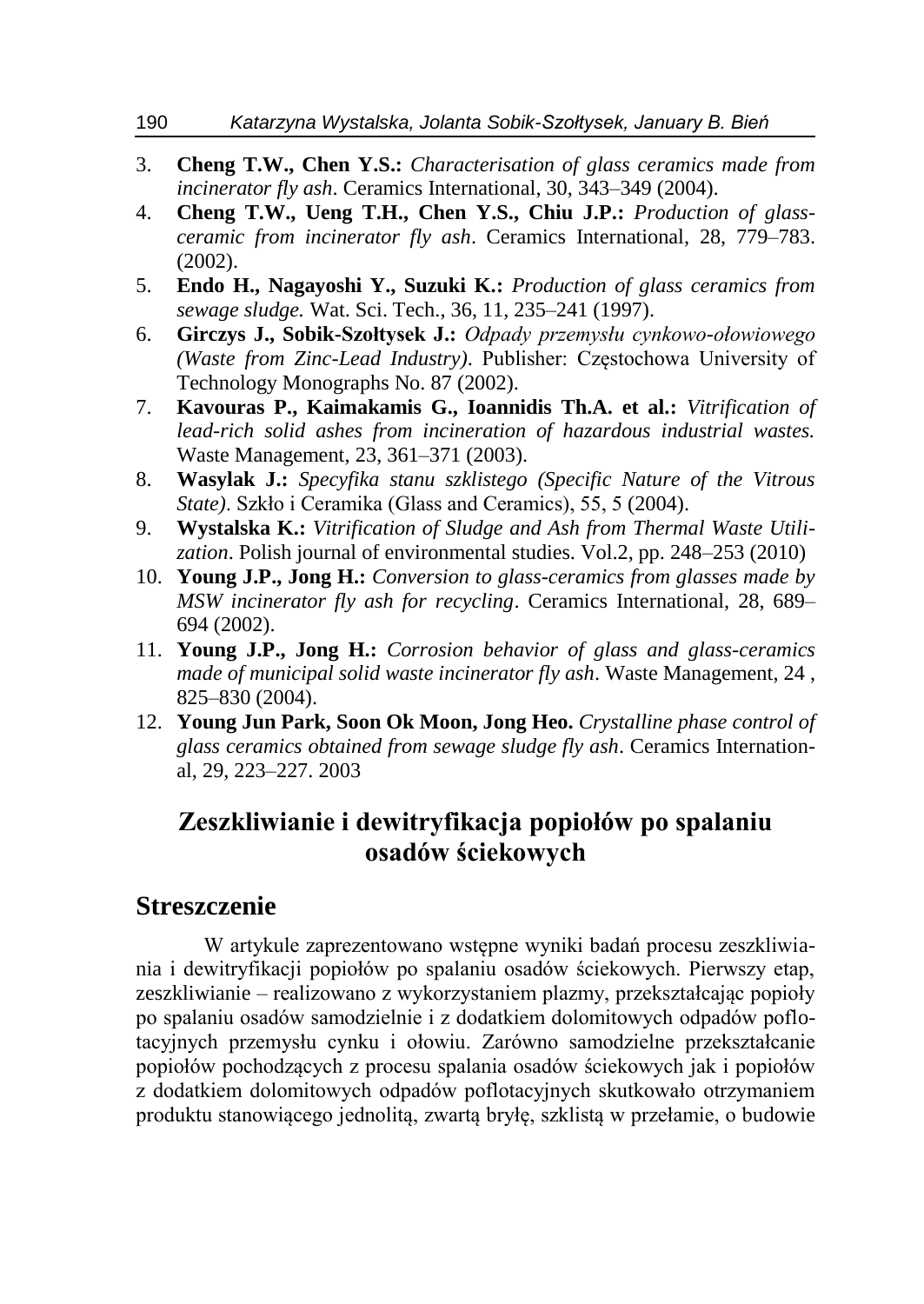- 3. **Cheng T.W., Chen Y.S.:** *Characterisation of glass ceramics made from incinerator fly ash*. Ceramics International, 30, 343–349 (2004).
- 4. **Cheng T.W., Ueng T.H., Chen Y.S., Chiu J.P.:** *Production of glassceramic from incinerator fly ash*. Ceramics International, 28, 779–783. (2002).
- 5. **Endo H., Nagayoshi Y., Suzuki K.:** *Production of glass ceramics from sewage sludge.* Wat. Sci. Tech., 36, 11, 235–241 (1997).
- 6. **Girczys J., Sobik-Szołtysek J.:** *Odpady przemysłu cynkowo-ołowiowego (Waste from Zinc-Lead Industry)*. Publisher: Częstochowa University of Technology Monographs No. 87 (2002).
- 7. **Kavouras P., Kaimakamis G., Ioannidis Th.A. et al.:** *Vitrification of lead-rich solid ashes from incineration of hazardous industrial wastes.* Waste Management, 23, 361–371 (2003).
- 8. **Wasylak J.:** *Specyfika stanu szklistego (Specific Nature of the Vitrous State)*. Szkło i Ceramika (Glass and Ceramics), 55, 5 (2004).
- 9. **Wystalska K.:** *Vitrification of Sludge and Ash from Thermal Waste Utilization*. Polish journal of environmental studies. Vol.2, pp. 248–253 (2010)
- 10. **Young J.P., Jong H.:** *Conversion to glass-ceramics from glasses made by MSW incinerator fly ash for recycling*. Ceramics International, 28, 689– 694 (2002).
- 11. **Young J.P., Jong H.:** *Corrosion behavior of glass and glass-ceramics made of municipal solid waste incinerator fly ash*. Waste Management, 24 , 825–830 (2004).
- 12. **Young Jun Park, Soon Ok Moon, Jong Heo.** *Crystalline phase control of glass ceramics obtained from sewage sludge fly ash*. Ceramics International, 29, 223–227. 2003

### **Zeszkliwianie i dewitryfikacja popiołów po spalaniu osadów ściekowych**

#### **Streszczenie**

W artykule zaprezentowano wstępne wyniki badań procesu zeszkliwiania i dewitryfikacji popiołów po spalaniu osadów ściekowych. Pierwszy etap, zeszkliwianie – realizowano z wykorzystaniem plazmy, przekształcając popioły po spalaniu osadów samodzielnie i z dodatkiem dolomitowych odpadów poflotacyjnych przemysłu cynku i ołowiu. Zarówno samodzielne przekształcanie popiołów pochodzących z procesu spalania osadów ściekowych jak i popiołów z dodatkiem dolomitowych odpadów poflotacyjnych skutkowało otrzymaniem produktu stanowiącego jednolitą, zwartą bryłę, szklistą w przełamie, o budowie